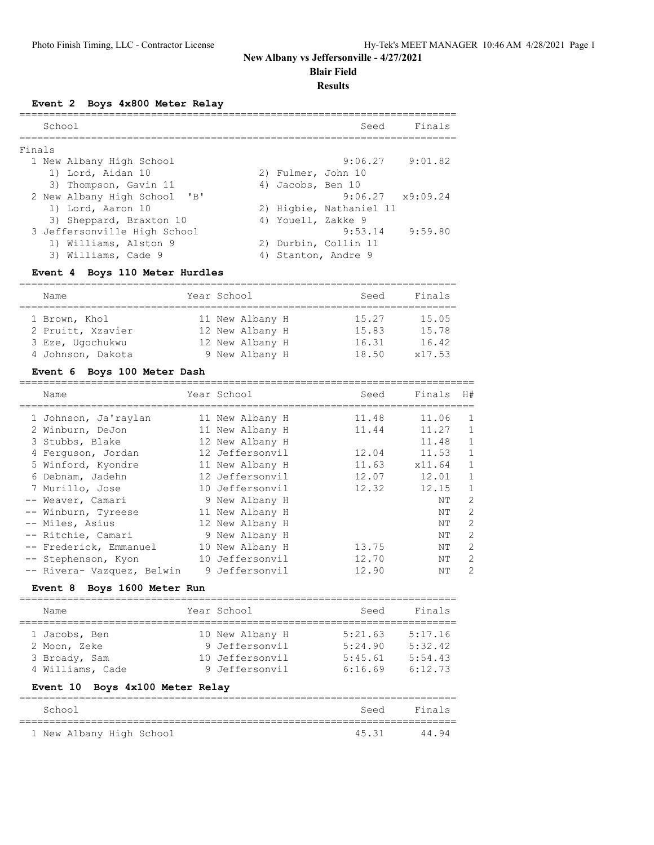**Blair Field**

#### **Results**

**Event 2 Boys 4x800 Meter Relay**

|        | School |                              |    |                    | Seed                     | Finals  |
|--------|--------|------------------------------|----|--------------------|--------------------------|---------|
| Finals |        |                              |    |                    |                          |         |
|        |        | 1 New Albany High School     |    |                    | $9:06.27$ $9:01.82$      |         |
|        |        | 1) Lord, Aidan 10            |    | 2) Fulmer, John 10 |                          |         |
|        |        | 3) Thompson, Gavin 11        |    | 4) Jacobs, Ben 10  |                          |         |
|        |        | 2 New Albany High School 'B' |    |                    | $9:06.27 \times 9:09.24$ |         |
|        |        | 1) Lord, Aaron 10            |    |                    | 2) Higbie, Nathaniel 11  |         |
|        |        | 3) Sheppard, Braxton 10      |    | 4) Youell, Zakke 9 |                          |         |
|        |        | 3 Jeffersonville High School |    |                    | 9:53.14                  | 9:59.80 |
|        |        | 1) Williams, Alston 9        |    |                    | 2) Durbin, Collin 11     |         |
|        |        | 3) Williams, Cade 9          | 4) |                    | Stanton, Andre 9         |         |
|        |        |                              |    |                    |                          |         |

#### **Event 4 Boys 110 Meter Hurdles**

| Name              | Year School     | Seed  | Finals |
|-------------------|-----------------|-------|--------|
| 1 Brown, Khol     | 11 New Albany H | 15.27 | 15.05  |
| 2 Pruitt, Xzavier | 12 New Albany H | 15.83 | 15.78  |
| 3 Eze, Ugochukwu  | 12 New Albany H | 16.31 | 16.42  |
| 4 Johnson, Dakota | 9 New Albany H  | 18.50 | x17.53 |

## **Event 6 Boys 100 Meter Dash**

| Name                       | Year School     | Seed  | Finals | H#            |
|----------------------------|-----------------|-------|--------|---------------|
| 1 Johnson, Ja'raylan       | 11 New Albany H | 11.48 | 11.06  | $\mathbf{1}$  |
| 2 Winburn, DeJon           | 11 New Albany H | 11.44 | 11.27  |               |
| 3 Stubbs, Blake            | 12 New Albany H |       | 11.48  | $\mathbf{1}$  |
| 4 Ferquson, Jordan         | 12 Jeffersonvil | 12.04 | 11.53  | $\mathbf{1}$  |
| 5 Winford, Kyondre         | 11 New Albany H | 11.63 | x11.64 | $\mathbf{1}$  |
| 6 Debnam, Jadehn           | 12 Jeffersonvil | 12.07 | 12.01  | $\mathbf{1}$  |
| 7 Murillo, Jose            | 10 Jeffersonvil | 12.32 | 12.15  | $\mathbf{1}$  |
| -- Weaver, Camari          | 9 New Albany H  |       | ΝT     | 2             |
| -- Winburn, Tyreese        | 11 New Albany H |       | NΤ     | 2             |
| -- Miles, Asius            | 12 New Albany H |       | ΝT     | 2             |
| -- Ritchie, Camari         | 9 New Albany H  |       | ΝT     | 2             |
| -- Frederick, Emmanuel     | 10 New Albany H | 13.75 | ΝT     | 2             |
| -- Stephenson, Kyon        | 10 Jeffersonvil | 12.70 | ΝT     | 2             |
| -- Rivera- Vazquez, Belwin | 9 Jeffersonvil  | 12.90 | NΤ     | $\mathcal{L}$ |
|                            |                 |       |        |               |

#### **Event 8 Boys 1600 Meter Run**

| Name                               |  | Year School     | Seed    | Finals  |  |  |  |  |
|------------------------------------|--|-----------------|---------|---------|--|--|--|--|
| 1 Jacobs, Ben                      |  | 10 New Albany H | 5:21.63 | 5:17.16 |  |  |  |  |
| 2 Moon, Zeke                       |  | 9 Jeffersonvil  | 5:24.90 | 5:32.42 |  |  |  |  |
| 3 Broady, Sam                      |  | 10 Jeffersonvil | 5:45.61 | 5:54.43 |  |  |  |  |
| 4 Williams, Cade                   |  | 9 Jeffersonvil  | 6:16.69 | 6:12.73 |  |  |  |  |
| Boys 4x100 Meter Relay<br>Event 10 |  |                 |         |         |  |  |  |  |
| School                             |  |                 | Seed    | Finals  |  |  |  |  |
|                                    |  |                 |         |         |  |  |  |  |

| School |                          |  |  | Seed Finals |       |
|--------|--------------------------|--|--|-------------|-------|
|        |                          |  |  |             |       |
|        | 1 New Albany High School |  |  | 45.31       | 44.94 |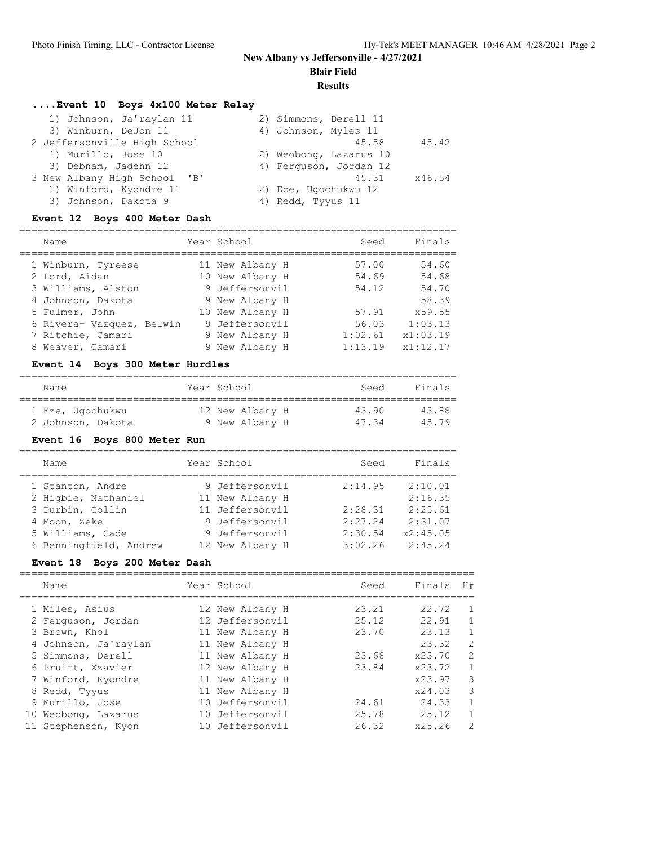**Blair Field**

#### **Results**

## **....Event 10 Boys 4x100 Meter Relay**

| 1) Johnson, Ja'raylan 11     | 2) Simmons, Derell 11  |
|------------------------------|------------------------|
| 3) Winburn, DeJon 11         | 4) Johnson, Myles 11   |
| 2 Jeffersonville High School | 45.42<br>45.58         |
| 1) Murillo, Jose 10          | 2) Weobong, Lazarus 10 |
| 3) Debnam, Jadehn 12         | 4) Ferquson, Jordan 12 |
| 3 New Albany High School 'B' | 45.31<br>x46.54        |
| 1) Winford, Kyondre 11       | 2) Eze, Ugochukwu 12   |
| 3) Johnson, Dakota 9         | 4) Redd, Tyyus 11      |

## **Event 12 Boys 400 Meter Dash**

| Name                      | Year School     | Seed    | Finals   |
|---------------------------|-----------------|---------|----------|
| 1 Winburn, Tyreese        | 11 New Albany H | 57.00   | 54.60    |
| 2 Lord, Aidan             | 10 New Albany H | 54.69   | 54.68    |
| 3 Williams, Alston        | 9 Jeffersonvil  | 54.12   | 54.70    |
| 4 Johnson, Dakota         | 9 New Albany H  |         | 58.39    |
| 5 Fulmer, John            | 10 New Albany H | 57.91   | x59.55   |
| 6 Rivera- Vazquez, Belwin | 9 Jeffersonvil  | 56.03   | 1:03.13  |
| 7 Ritchie, Camari         | 9 New Albany H  | 1:02.61 | x1:03.19 |
| 8 Weaver, Camari          | 9 New Albany H  | 1:13.19 | x1:12.17 |

# **Event 14 Boys 300 Meter Hurdles**

| Name              | Year School     | Seed  | Finals |
|-------------------|-----------------|-------|--------|
| 1 Eze, Ugochukwu  | 12 New Albany H | 43.90 | 43.88  |
| 2 Johnson, Dakota | 9 New Albany H  | 4734  | 45 79  |

## **Event 16 Boys 800 Meter Run**

| Name                   | Year School     | Seed    | Finals   |
|------------------------|-----------------|---------|----------|
| 1 Stanton, Andre       | 9 Jeffersonvil  | 2:14.95 | 2:10.01  |
| 2 Higbie, Nathaniel    | 11 New Albany H |         | 2:16.35  |
| 3 Durbin, Collin       | 11 Jeffersonvil | 2:28.31 | 2:25.61  |
| 4 Moon, Zeke           | 9 Jeffersonvil  | 2:27.24 | 2:31.07  |
| 5 Williams, Cade       | 9 Jeffersonvil  | 2:30.54 | x2:45.05 |
| 6 Benningfield, Andrew | 12 New Albany H | 3:02.26 | 2:45.24  |

## **Event 18 Boys 200 Meter Dash**

|    | Name                 | Year School     | Seed  | Finals | H# |
|----|----------------------|-----------------|-------|--------|----|
|    | 1 Miles, Asius       | 12 New Albany H | 23.21 | 22.72  |    |
|    | 2 Ferquson, Jordan   | 12 Jeffersonvil | 25.12 | 22.91  |    |
|    | 3 Brown, Khol        | 11 New Albany H | 23.70 | 23.13  |    |
|    | 4 Johnson, Ja'raylan | 11 New Albany H |       | 23.32  | 2  |
|    | 5 Simmons, Derell    | 11 New Albany H | 23.68 | x23.70 | 2  |
|    | 6 Pruitt, Xzavier    | 12 New Albany H | 23.84 | x23.72 |    |
|    | 7 Winford, Kyondre   | 11 New Albany H |       | x23.97 | 3  |
|    | 8 Redd, Tyyus        | 11 New Albany H |       | x24.03 | 3  |
|    | 9 Murillo, Jose      | 10 Jeffersonvil | 24.61 | 24.33  |    |
| 10 | Weobong, Lazarus     | 10 Jeffersonvil | 25.78 | 25.12  | 1. |
|    | 11 Stephenson, Kyon  | 10 Jeffersonvil | 26.32 | x25.26 | 2  |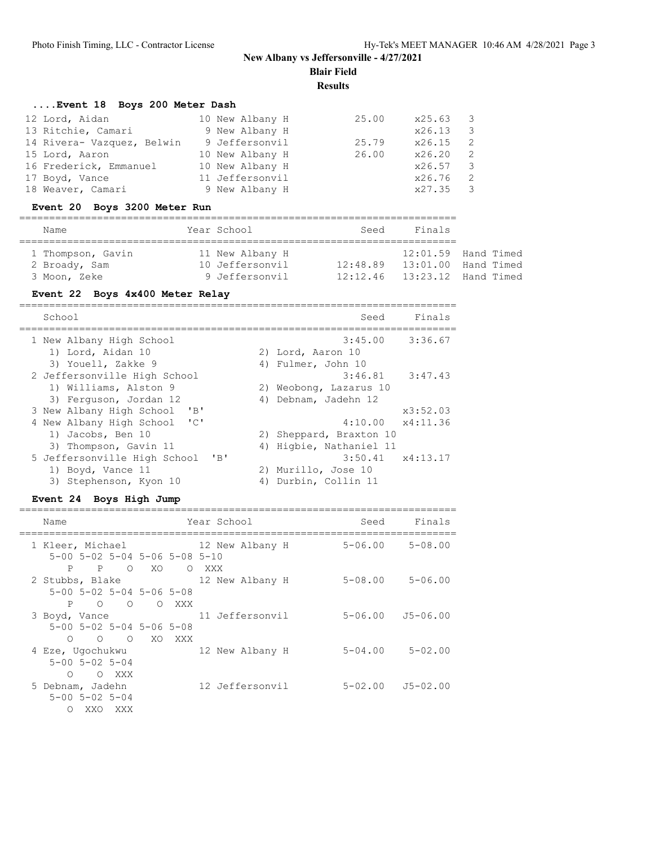**Blair Field**

**Results**

## **....Event 18 Boys 200 Meter Dash**

| 12 Lord, Aidan             | 10 New Albany H | 25.00 | x25.63 3 |                          |
|----------------------------|-----------------|-------|----------|--------------------------|
| 13 Ritchie, Camari         | 9 New Albany H  |       | x26.13   | $\overline{\phantom{a}}$ |
| 14 Rivera- Vazquez, Belwin | 9 Jeffersonvil  | 25.79 | x26.15   |                          |
| 15 Lord, Aaron             | 10 New Albany H | 26.00 | x26.20   |                          |
| 16 Frederick, Emmanuel     | 10 New Albany H |       | x26.57 3 |                          |
| 17 Boyd, Vance             | 11 Jeffersonvil |       | x26.76   |                          |
| 18 Weaver, Camari          | 9 New Albany H  |       | x27.35 3 |                          |

# **Event 20 Boys 3200 Meter Run**

| Name              |  | Year School     | Seed     | Finals |                       |  |  |  |  |
|-------------------|--|-----------------|----------|--------|-----------------------|--|--|--|--|
|                   |  |                 |          |        |                       |  |  |  |  |
| 1 Thompson, Gavin |  | 11 New Albany H |          |        | $12:01.59$ Hand Timed |  |  |  |  |
| 2 Broady, Sam     |  | 10 Jeffersonvil | 12:48.89 |        | $13:01.00$ Hand Timed |  |  |  |  |
| 3 Moon, Zeke      |  | 9 Jeffersonvil  | 12:12.46 |        | $13:23.12$ Hand Timed |  |  |  |  |

#### **Event 22 Boys 4x400 Meter Relay**

| School                                                                      |    | Finals<br>Seed           |
|-----------------------------------------------------------------------------|----|--------------------------|
| 1 New Albany High School                                                    |    | 3:45.00<br>3:36.67       |
| 1) Lord, Aidan 10                                                           |    | 2) Lord, Aaron 10        |
| 3) Youell, Zakke 9                                                          |    | 4) Fulmer, John 10       |
| 2 Jeffersonville High School                                                |    | 3:46.81<br>3:47.43       |
| 1) Williams, Alston 9                                                       |    | 2) Weobong, Lazarus 10   |
| 3) Ferquson, Jordan 12                                                      |    | 4) Debnam, Jadehn 12     |
| $^{\prime}$ B <sup><math>^{\prime}</math></sup><br>3 New Albany High School |    | x3:52.03                 |
| 4 New Albany High School 'C'                                                |    | $4:10.00 \times 4:11.36$ |
| 1) Jacobs, Ben 10                                                           |    | 2) Sheppard, Braxton 10  |
| 3) Thompson, Gavin 11                                                       |    | 4) Higbie, Nathaniel 11  |
| $'$ B<br>5 Jeffersonville High School                                       |    | $3:50.41 \times 4:13.17$ |
| 1) Boyd, Vance 11                                                           |    | 2) Murillo, Jose 10      |
| 3) Stephenson, Kyon 10                                                      | 4) | Durbin, Collin 11        |

#### **Event 24 Boys High Jump**

| Name                                         |      | Year School     | Seed        | Finals                   |
|----------------------------------------------|------|-----------------|-------------|--------------------------|
| 1 Kleer, Michael                             |      | 12 New Albany H | $5 - 06.00$ | 5-08.00                  |
| $5-00$ $5-02$ $5-04$ $5-06$ $5-08$ $5-10$    |      |                 |             |                          |
| P<br>$P \qquad \qquad$<br>$\bigcirc$         | - XO | O XXX           |             |                          |
| 2 Stubbs, Blake                              |      | 12 New Albany H | $5 - 08.00$ | $5 - 06.00$              |
| 5-00 5-02 5-04 5-06 5-08                     |      |                 |             |                          |
| P O O O XXX                                  |      |                 |             |                          |
| 3 Boyd, Vance                                |      | 11 Jeffersonvil |             | $5 - 06.00$ $J5 - 06.00$ |
| $5 - 00$ $5 - 02$ $5 - 04$ $5 - 06$ $5 - 08$ |      |                 |             |                          |
| O O O XO XXX                                 |      |                 |             |                          |
| 4 Eze, Ugochukwu                             |      | 12 New Albany H | $5 - 04.00$ | 5-02.00                  |
| $5 - 00$ $5 - 02$ $5 - 04$                   |      |                 |             |                          |
| $\Omega$<br>O XXX                            |      |                 |             |                          |
| 5 Debnam, Jadehn                             |      | 12 Jeffersonvil |             | $5-02.00$ $J5-02.00$     |
| $5 - 00$ $5 - 02$ $5 - 04$                   |      |                 |             |                          |
| XXO XXX<br>$\Omega$                          |      |                 |             |                          |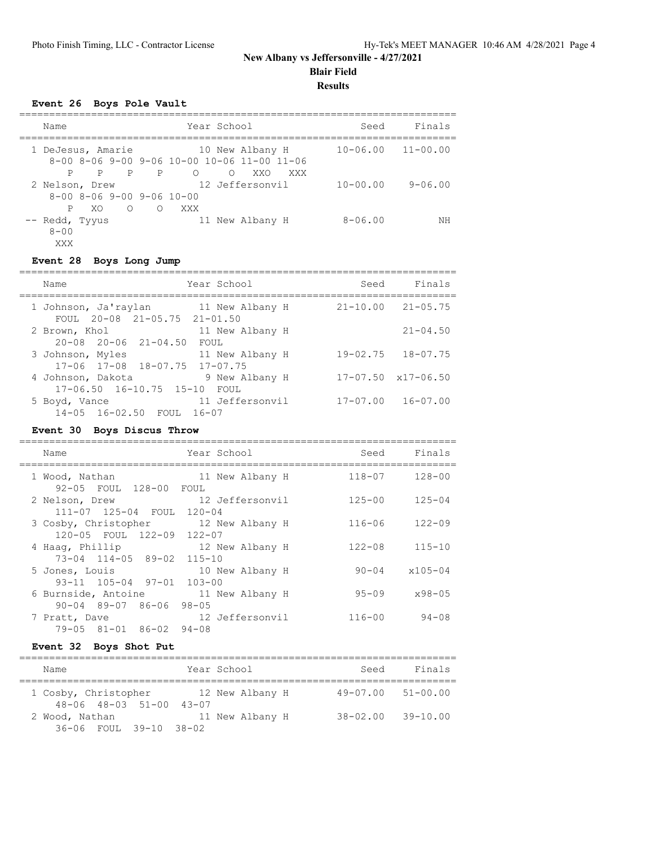**Blair Field**

**Results**

## **Event 26 Boys Pole Vault**

| Name                                                                           | Year School                                                                                                        | Seed                      | Finals      |
|--------------------------------------------------------------------------------|--------------------------------------------------------------------------------------------------------------------|---------------------------|-------------|
| 1 DeJesus, Amarie<br>$\overline{P}$<br>P<br>P                                  | 10 New Albany H<br>$8-00$ $8-06$ $9-00$ $9-06$ $10-00$ $10-06$ $11-00$ $11-06$<br>P<br>$\Omega$<br>∩<br>XXO<br>XXX | $10 - 06.00$ $11 - 00.00$ |             |
| 2 Nelson, Drew<br>$8-00$ $8-06$ $9-00$ $9-06$ $10-00$<br>XO.<br>$\overline{O}$ | 12 Jeffersonvil<br>$\bigcirc$<br>XXX                                                                               | $10 - 00.00$              | $9 - 06.00$ |
| -- Redd, Tyyus<br>$8 - 00$<br>XXX                                              | 11 New Albany H                                                                                                    | $8 - 06.00$               | ΝH          |

#### **Event 28 Boys Long Jump**

| Name                                                                 | Year School             | Seed         | Finals                     |
|----------------------------------------------------------------------|-------------------------|--------------|----------------------------|
| 1 Johnson, Ja'raylan 11 New Albany H<br>FOUL 20-08 21-05.75 21-01.50 |                         |              | $21 - 10.00$ $21 - 05.75$  |
| 2 Brown, Khol<br>$20 - 08$ $20 - 06$ $21 - 04.50$                    | 11 New Albany H<br>FOUL |              | $21 - 04.50$               |
| 3 Johnson, Myles<br>17-06 17-08 18-07.75 17-07.75                    | 11 New Albany H         |              | $19 - 02.75$ $18 - 07.75$  |
| 4 Johnson, Dakota<br>$17 - 06.50$ $16 - 10.75$ $15 - 10$             | 9 New Albany H<br>FOUL  |              | $17-07.50 \times 17-06.50$ |
| 5 Boyd, Vance<br>14-05 16-02.50 FOUL 16-07                           | 11 Jeffersonvil         | $17 - 07.00$ | $16 - 07.00$               |

#### **Event 30 Boys Discus Throw**

| Name                                                                           | Year School     | Seed       | Finals      |
|--------------------------------------------------------------------------------|-----------------|------------|-------------|
| 1 Wood, Nathan<br>92-05 FOUL 128-00 FOUL                                       | 11 New Albany H | $118 - 07$ | $128 - 00$  |
| 2 Nelson, Drew<br>111-07 125-04 FOUL 120-04                                    | 12 Jeffersonvil | $125 - 00$ | $125 - 04$  |
| 3 Cosby, Christopher 12 New Albany H<br>120-05 FOUL 122-09 122-07              |                 | $116 - 06$ | $122 - 09$  |
| 4 Haaq, Phillip<br>73-04 114-05 89-02 115-10                                   | 12 New Albany H | $122 - 08$ | $115 - 10$  |
| 5 Jones, Louis<br>$93-11$ $105-04$ $97-01$ $103-00$                            | 10 New Albany H | $90 - 04$  | $x105 - 04$ |
| 6 Burnside, Antoine 11 New Albany H<br>$90 - 04$ $89 - 07$ $86 - 06$ $98 - 05$ |                 | $95 - 09$  | $x98 - 05$  |
| 7 Pratt, Dave<br>79-05 81-01 86-02 94-08                                       | 12 Jeffersonvil | $116 - 00$ | $94 - 08$   |
|                                                                                |                 |            |             |

## **Event 32 Boys Shot Put**

| Name                                                            | Year School     | Seed                      | Finals       |
|-----------------------------------------------------------------|-----------------|---------------------------|--------------|
| 1 Cosby, Christopher<br>$48 - 06$ $48 - 03$ $51 - 00$ $43 - 07$ | 12 New Albany H | $49 - 07.00$ $51 - 00.00$ |              |
| 2 Wood, Nathan<br>$36 - 06$ FOUL $39 - 10$ $38 - 02$            | 11 New Albany H | 38-02.00                  | $39 - 10.00$ |